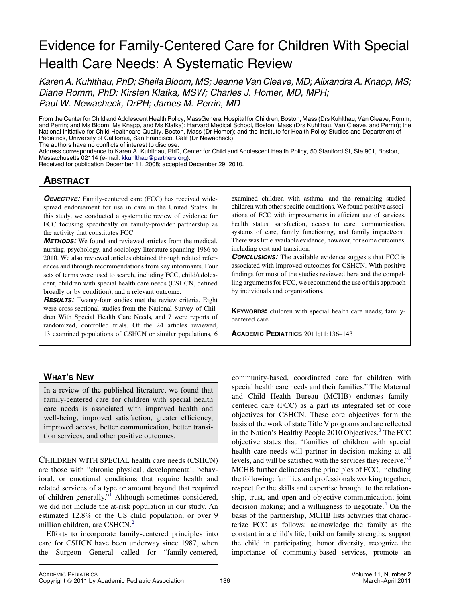# Evidence for Family-Centered Care for Children With Special Health Care Needs: A Systematic Review

Karen A. Kuhlthau, PhD; Sheila Bloom, MS; Jeanne Van Cleave, MD; Alixandra A. Knapp, MS; Diane Romm, PhD; Kirsten Klatka, MSW; Charles J. Homer, MD, MPH; Paul W. Newacheck, DrPH; James M. Perrin, MD

From the Center for Child and Adolescent Health Policy, MassGeneral Hospital for Children, Boston, Mass (Drs Kuhlthau, Van Cleave, Romm, and Perrin; and Ms Bloom, Ms Knapp, and Ms Klatka); Harvard Medical School, Boston, Mass (Drs Kuhlthau, Van Cleave, and Perrin); the National Initiative for Child Healthcare Quality, Boston, Mass (Dr Homer); and the Institute for Health Policy Studies and Department of Pediatrics, University of California, San Francisco, Calif (Dr Newacheck)

The authors have no conflicts of interest to disclose.

Address correspondence to Karen A. Kuhlthau, PhD, Center for Child and Adolescent Health Policy, 50 Staniford St, Ste 901, Boston, Massachusetts 02114 (e-mail: [kkuhlthau@partners.org\)](mailto:kkuhlthau@partners.org).

Received for publication December 11, 2008; accepted December 29, 2010.

# **ABSTRACT**

**OBJECTIVE:** Family-centered care (FCC) has received widespread endorsement for use in care in the United States. In this study, we conducted a systematic review of evidence for FCC focusing specifically on family-provider partnership as the activity that constitutes FCC.

**METHODS:** We found and reviewed articles from the medical. nursing, psychology, and sociology literature spanning 1986 to 2010. We also reviewed articles obtained through related references and through recommendations from key informants. Four sets of terms were used to search, including FCC, child/adolescent, children with special health care needs (CSHCN, defined broadly or by condition), and a relevant outcome.

RESULTS: Twenty-four studies met the review criteria. Eight were cross-sectional studies from the National Survey of Children With Special Health Care Needs, and 7 were reports of randomized, controlled trials. Of the 24 articles reviewed, 13 examined populations of CSHCN or similar populations, 6

examined children with asthma, and the remaining studied children with other specific conditions. We found positive associations of FCC with improvements in efficient use of services, health status, satisfaction, access to care, communication, systems of care, family functioning, and family impact/cost. There was little available evidence, however, for some outcomes, including cost and transition.

**CONCLUSIONS:** The available evidence suggests that FCC is associated with improved outcomes for CSHCN. With positive findings for most of the studies reviewed here and the compelling arguments for FCC, we recommend the use of this approach by individuals and organizations.

KEYWORDS: children with special health care needs; familycentered care

ACADEMIC PEDIATRICS 2011;11:136–143

## WHAT'S NEW

In a review of the published literature, we found that family-centered care for children with special health care needs is associated with improved health and well-being, improved satisfaction, greater efficiency, improved access, better communication, better transition services, and other positive outcomes.

CHILDREN WITH SPECIAL health care needs (CSHCN) are those with "chronic physical, developmental, behavioral, or emotional conditions that require health and related services of a type or amount beyond that required of children generally."[1](#page-6-0) Although sometimes considered, we did not include the at-risk population in our study. An estimated 12.8% of the US child population, or over 9 million children, are CSHCN.<sup>[2](#page-6-0)</sup>

Efforts to incorporate family-centered principles into care for CSHCN have been underway since 1987, when the Surgeon General called for "family-centered,

community-based, coordinated care for children with special health care needs and their families." The Maternal and Child Health Bureau (MCHB) endorses familycentered care (FCC) as a part its integrated set of core objectives for CSHCN. These core objectives form the basis of the work of state Title V programs and are reflected in the Nation's Healthy People 2010 Objectives.<sup>3</sup> The FCC objective states that "families of children with special health care needs will partner in decision making at all levels, and will be satisfied with the services they receive."[3](#page-6-0) MCHB further delineates the principles of FCC, including the following: families and professionals working together; respect for the skills and expertise brought to the relationship, trust, and open and objective communication; joint decision making; and a willingness to negotiate. $4$  On the basis of the partnership, MCHB lists activities that characterize FCC as follows: acknowledge the family as the constant in a child's life, build on family strengths, support the child in participating, honor diversity, recognize the importance of community-based services, promote an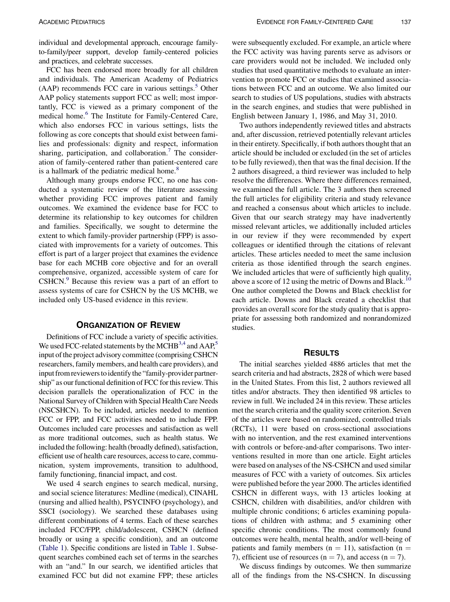individual and developmental approach, encourage familyto-family/peer support, develop family-centered policies and practices, and celebrate successes.

FCC has been endorsed more broadly for all children and individuals. The American Academy of Pediatrics  $(AAP)$  recommends FCC care in various settings.<sup>[5](#page-6-0)</sup> Other AAP policy statements support FCC as well; most importantly, FCC is viewed as a primary component of the medical home.<sup>[6](#page-6-0)</sup> The Institute for Family-Centered Care, which also endorses FCC in various settings, lists the following as core concepts that should exist between families and professionals: dignity and respect, information sharing, participation, and collaboration.<sup>[7](#page-6-0)</sup> The consideration of family-centered rather than patient-centered care is a hallmark of the pediatric medical home.<sup>[8](#page-6-0)</sup>

Although many groups endorse FCC, no one has conducted a systematic review of the literature assessing whether providing FCC improves patient and family outcomes. We examined the evidence base for FCC to determine its relationship to key outcomes for children and families. Specifically, we sought to determine the extent to which family-provider partnership (FPP) is associated with improvements for a variety of outcomes. This effort is part of a larger project that examines the evidence base for each MCHB core objective and for an overall comprehensive, organized, accessible system of care for CSHCN.<sup>9</sup> Because this review was a part of an effort to assess systems of care for CSHCN by the US MCHB, we included only US-based evidence in this review.

#### ORGANIZATION OF REVIEW

Definitions of FCC include a variety of specific activities. We used FCC-related statements by the MCHB<sup>3,4</sup> and  $\text{AAP}^5$  $\text{AAP}^5$ , input of the project advisory committee (comprising CSHCN researchers, family members, and health care providers), and input from reviewers to identify the "family-provider partnership" as our functional definition of FCC for this review. This decision parallels the operationalization of FCC in the National Survey of Children with Special Health Care Needs (NSCSHCN). To be included, articles needed to mention FCC or FPP, and FCC activities needed to include FPP. Outcomes included care processes and satisfaction as well as more traditional outcomes, such as health status. We included the following: health (broadly defined), satisfaction, efficient use of health care resources, access to care, communication, system improvements, transition to adulthood, family functioning, financial impact, and cost.

We used 4 search engines to search medical, nursing, and social science literatures: Medline (medical), CINAHL (nursing and allied health), PSYCINFO (psychology), and SSCI (sociology). We searched these databases using different combinations of 4 terms. Each of these searches included FCC/FPP, child/adolescent, CSHCN (defined broadly or using a specific condition), and an outcome ([Table 1\)](#page-2-0). Specific conditions are listed in [Table 1](#page-2-0). Subsequent searches combined each set of terms in the searches with an "and." In our search, we identified articles that examined FCC but did not examine FPP; these articles

were subsequently excluded. For example, an article where the FCC activity was having parents serve as advisors or care providers would not be included. We included only studies that used quantitative methods to evaluate an intervention to promote FCC or studies that examined associations between FCC and an outcome. We also limited our search to studies of US populations, studies with abstracts in the search engines, and studies that were published in English between January 1, 1986, and May 31, 2010.

Two authors independently reviewed titles and abstracts and, after discussion, retrieved potentially relevant articles in their entirety. Specifically, if both authors thought that an article should be included or excluded (in the set of articles to be fully reviewed), then that was the final decision. If the 2 authors disagreed, a third reviewer was included to help resolve the differences. Where there differences remained, we examined the full article. The 3 authors then screened the full articles for eligibility criteria and study relevance and reached a consensus about which articles to include. Given that our search strategy may have inadvertently missed relevant articles, we additionally included articles in our review if they were recommended by expert colleagues or identified through the citations of relevant articles. These articles needed to meet the same inclusion criteria as those identified through the search engines. We included articles that were of sufficiently high quality, above a score of 12 using the metric of Downs and Black.<sup>[10](#page-6-0)</sup> One author completed the Downs and Black checklist for each article. Downs and Black created a checklist that provides an overall score for the study quality that is appropriate for assessing both randomized and nonrandomized studies.

#### RESULTS

The initial searches yielded 4886 articles that met the search criteria and had abstracts, 2828 of which were based in the United States. From this list, 2 authors reviewed all titles and/or abstracts. They then identified 98 articles to review in full. We included 24 in this review. These articles met the search criteria and the quality score criterion. Seven of the articles were based on randomized, controlled trials (RCTs), 11 were based on cross-sectional associations with no intervention, and the rest examined interventions with controls or before-and-after comparisons. Two interventions resulted in more than one article. Eight articles were based on analyses of the NS-CSHCN and used similar measures of FCC with a variety of outcomes. Six articles were published before the year 2000. The articles identified CSHCN in different ways, with 13 articles looking at CSHCN, children with disabilities, and/or children with multiple chronic conditions; 6 articles examining populations of children with asthma; and 5 examining other specific chronic conditions. The most commonly found outcomes were health, mental health, and/or well-being of patients and family members ( $n = 11$ ), satisfaction ( $n =$ 7), efficient use of resources ( $n = 7$ ), and access ( $n = 7$ ).

We discuss findings by outcomes. We then summarize all of the findings from the NS-CSHCN. In discussing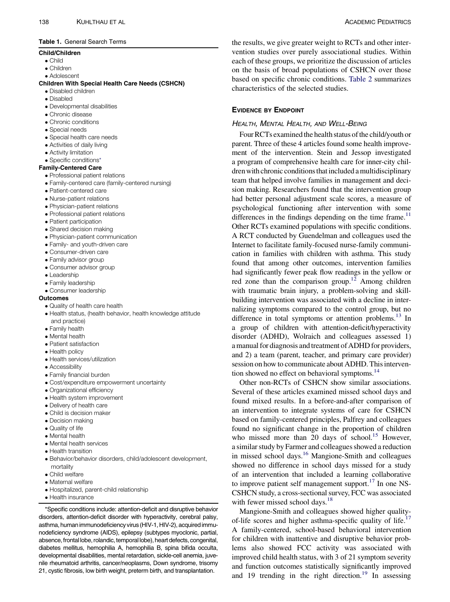#### <span id="page-2-0"></span>Table 1. General Search Terms

#### Child/Children

- Child
- Children
- Adolescent

#### Children With Special Health Care Needs (CSHCN)

- Disabled children
- Disabled
- Developmental disabilities
- Chronic disease
- Chronic conditions
- Special needs
- Special health care needs
- Activities of daily living
- Activity limitation
- Specific conditions\*

#### Family-Centered Care

- Professional patient relations
- Family-centered care (family-centered nursing)
- Patient-centered care
- Nurse-patient relations
- Physician-patient relations
- Professional patient relations
- Patient participation
- Shared decision making
- Physician-patient communication
- Family- and youth-driven care
- Consumer-driven care
- Family advisor group
- Consumer advisor group
- Leadership
- Family leadership
- Consumer leadership

#### **Outcomes**

- Quality of health care health
- Health status, (health behavior, health knowledge attitude and practice)
- Family health
- Mental health
- Patient satisfaction
- Health policy
- Health services/utilization
- Accessibility
- Family financial burden
- Cost/expenditure empowerment uncertainty
- Organizational efficiency
- Health system improvement
- Delivery of health care
- Child is decision maker
- Decision making
- Quality of life
- Mental health
- Mental health services
- Health transition
- Behavior/behavior disorders, child/adolescent development, mortality
- Child welfare
- Maternal welfare
- Hospitalized, parent-child relationship
- Health insurance

\*Specific conditions include: attention-deficit and disruptive behavior disorders, attention-deficit disorder with hyperactivity, cerebral palsy, asthma, human immunodeficiency virus (HIV-1, HIV-2), acquired immunodeficiency syndrome (AIDS), epilepsy (subtypes myoclonic, partial, absence, frontal lobe, rolandic, temporal lobe), heart defects, congenital, diabetes mellitus, hemophilia A, hemophilia B, spina bifida occulta, developmental disabilities, mental retardation, sickle-cell anemia, juvenile rheumatoid arthritis, cancer/neoplasms, Down syndrome, trisomy 21, cystic fibrosis, low birth weight, preterm birth, and transplantation.

the results, we give greater weight to RCTs and other intervention studies over purely associational studies. Within each of these groups, we prioritize the discussion of articles on the basis of broad populations of CSHCN over those based on specific chronic conditions. [Table 2](#page-3-0) summarizes characteristics of the selected studies.

#### EVIDENCE BY ENDPOINT

#### HEALTH, MENTAL HEALTH, AND WELL-BEING

Four RCTs examined the health status of the child/youth or parent. Three of these 4 articles found some health improvement of the intervention. Stein and Jessop investigated a program of comprehensive health care for inner-city children with chronic conditions that included a multidisciplinary team that helped involve families in management and decision making. Researchers found that the intervention group had better personal adjustment scale scores, a measure of psychological functioning after intervention with some differences in the findings depending on the time frame. $11$ Other RCTs examined populations with specific conditions. A RCT conducted by Guendelman and colleagues used the Internet to facilitate family-focused nurse-family communication in families with children with asthma. This study found that among other outcomes, intervention families had significantly fewer peak flow readings in the yellow or red zone than the comparison group.<sup>12</sup> Among children with traumatic brain injury, a problem-solving and skillbuilding intervention was associated with a decline in internalizing symptoms compared to the control group, but no difference in total symptoms or attention problems.<sup>13</sup> In a group of children with attention-deficit/hyperactivity disorder (ADHD), Wolraich and colleagues assessed 1) a manual for diagnosis and treatment of ADHD for providers, and 2) a team (parent, teacher, and primary care provider) session on how to communicate about ADHD. This intervention showed no effect on behavioral symptoms.<sup>14</sup>

Other non-RCTs of CSHCN show similar associations. Several of these articles examined missed school days and found mixed results. In a before-and-after comparison of an intervention to integrate systems of care for CSHCN based on family-centered principles, Palfrey and colleagues found no significant change in the proportion of children who missed more than 20 days of school.<sup>15</sup> However, a similar study by Farmer and colleagues showed a reduction in missed school days.<sup>[16](#page-7-0)</sup> Mangione-Smith and colleagues showed no difference in school days missed for a study of an intervention that included a learning collaborative to improve patient self management support. $17$  In one NS-CSHCN study, a cross-sectional survey, FCC was associated with fewer missed school days.<sup>18</sup>

Mangione-Smith and colleagues showed higher qualityof-life scores and higher asthma-specific quality of life.<sup>17</sup> A family-centered, school-based behavioral intervention for children with inattentive and disruptive behavior problems also showed FCC activity was associated with improved child health status, with 3 of 21 symptom severity and function outcomes statistically significantly improved and 19 trending in the right direction.<sup>19</sup> In assessing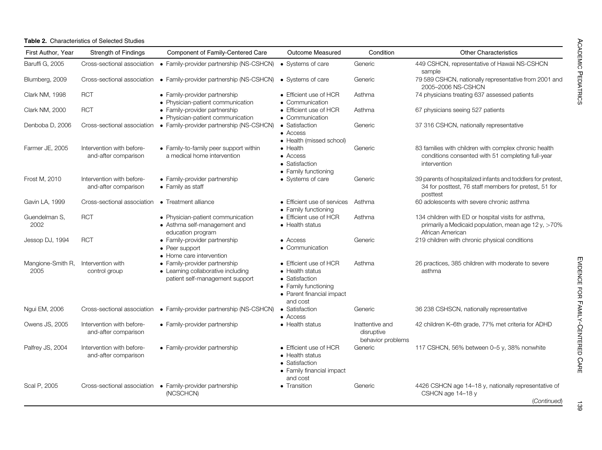| First Author, Year        | Strength of Findings                              | Component of Family-Centered Care                                                                      | Outcome Measured                                                                                                             | Condition                                          | <b>Other Characteristics</b>                                                                                                       |
|---------------------------|---------------------------------------------------|--------------------------------------------------------------------------------------------------------|------------------------------------------------------------------------------------------------------------------------------|----------------------------------------------------|------------------------------------------------------------------------------------------------------------------------------------|
| Baruffi G, 2005           | Cross-sectional association                       | • Family-provider partnership (NS-CSHCN)                                                               | • Systems of care                                                                                                            | Generic                                            | 449 CSHCN, representative of Hawaii NS-CSHCN<br>sample                                                                             |
| Blumberg, 2009            | Cross-sectional association                       | • Family-provider partnership (NS-CSHCN)                                                               | • Systems of care                                                                                                            | Generic                                            | 79 589 CSHCN, nationally representative from 2001 and<br>2005-2006 NS-CSHCN                                                        |
| Clark NM, 1998            | <b>RCT</b>                                        | • Family-provider partnership<br>• Physician-patient communication                                     | • Efficient use of HCR<br>• Communication                                                                                    | Asthma                                             | 74 physicians treating 637 assessed patients                                                                                       |
| Clark NM, 2000            | <b>RCT</b>                                        | • Family-provider partnership<br>• Physician-patient communication                                     | • Efficient use of HCR<br>• Communication                                                                                    | Asthma                                             | 67 physicians seeing 527 patients                                                                                                  |
| Denboba D, 2006           | Cross-sectional association                       | • Family-provider partnership (NS-CSHCN)                                                               | • Satisfaction<br>$\bullet$ Access<br>• Health (missed school)                                                               | Generic                                            | 37 316 CSHCN, nationally representative                                                                                            |
| Farmer JE, 2005           | Intervention with before-<br>and-after comparison | • Family-to-family peer support within<br>a medical home intervention                                  | $\bullet$ Health<br>$\bullet$ Access<br>• Satisfaction<br>• Family functioning                                               | Generic                                            | 83 families with children with complex chronic health<br>conditions consented with 51 completing full-year<br>intervention         |
| Frost M, 2010             | Intervention with before-<br>and-after comparison | • Family-provider partnership<br>• Family as staff                                                     | • Systems of care                                                                                                            | Generic                                            | 39 parents of hospitalized infants and toddlers for pretest,<br>34 for posttest, 76 staff members for pretest, 51 for<br>posttest  |
| Gavin LA, 1999            | Cross-sectional association                       | • Treatment alliance                                                                                   | • Efficient use of services<br>• Family functioning                                                                          | Asthma                                             | 60 adolescents with severe chronic asthma                                                                                          |
| Guendelman S.<br>2002     | <b>RCT</b>                                        | • Physician-patient communication<br>• Asthma self-management and<br>education program                 | • Efficient use of HCR<br>• Health status                                                                                    | Asthma                                             | 134 children with ED or hospital visits for asthma,<br>primarily a Medicaid population, mean age 12 y, $>70\%$<br>African American |
| Jessop DJ, 1994           | <b>RCT</b>                                        | • Family-provider partnership<br>• Peer support<br>• Home care intervention                            | $\bullet$ Access<br>• Communication                                                                                          | Generic                                            | 219 children with chronic physical conditions                                                                                      |
| Mangione-Smith R,<br>2005 | Intervention with<br>control group                | • Family-provider partnership<br>• Learning collaborative including<br>patient self-management support | • Efficient use of HCR<br>• Health status<br>• Satisfaction<br>• Family functioning<br>• Parent financial impact<br>and cost | Asthma                                             | 26 practices, 385 children with moderate to severe<br>asthma                                                                       |
| Ngui EM, 2006             | Cross-sectional association                       | • Family-provider partnership (NS-CSHCN)                                                               | • Satisfaction<br>$\bullet$ Access                                                                                           | Generic                                            | 36 238 CSHSCN, nationally representative                                                                                           |
| Owens JS, 2005            | Intervention with before-<br>and-after comparison | • Family-provider partnership                                                                          | • Health status                                                                                                              | Inattentive and<br>disruptive<br>behavior problems | 42 children K-6th grade, 77% met criteria for ADHD                                                                                 |
| Palfrey JS, 2004          | Intervention with before-<br>and-after comparison | • Family-provider partnership                                                                          | • Efficient use of HCR<br>• Health status<br>• Satisfaction<br>• Family financial impact<br>and cost                         | Generic                                            | 117 CSHCN, 56% between 0-5 y, 38% nonwhite                                                                                         |
| Scal P, 2005              |                                                   | Cross-sectional association . Family-provider partnership<br>(NCSCHCN)                                 | • Transition                                                                                                                 | Generic                                            | 4426 CSHCN age 14–18 y, nationally representative of<br>CSHCN age 14-18 y                                                          |
|                           |                                                   |                                                                                                        |                                                                                                                              |                                                    | (Continued)                                                                                                                        |

<span id="page-3-0"></span>Table 2. Characteristics of Selected Studies

139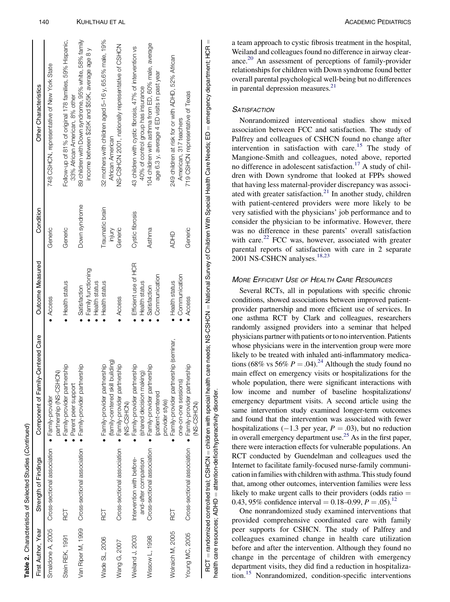| First Author, Year | Strength of Findings                                      | Component of Family-Centered Care                                     | Outcome Measured                                    | Condition                 | Other Characteristics                                                                                                                                                                       |
|--------------------|-----------------------------------------------------------|-----------------------------------------------------------------------|-----------------------------------------------------|---------------------------|---------------------------------------------------------------------------------------------------------------------------------------------------------------------------------------------|
| Smaldone A, 2005   | Cross-sectional association • Family-provider             | partnership (NS-CSHCN)                                                | Access                                              | Generic                   | 748 CSHCN, representative of New York State                                                                                                                                                 |
| Stein REK, 1991    | RCT                                                       | · Family-provider partnership<br>Parent peer support                  | • Health status                                     | Generic                   | Follow-up of 81% of original 178 families, 59% Hispanic,<br>33% African American, 8% other                                                                                                  |
| Van Riper M, 1999  | Cross-sectional association • Family-provider partnership |                                                                       | Family functioning<br>Health status<br>Satisfaction | Down syndrome             | 89 children with Down syndrome, 95% white, 58% family<br>income between \$25K and \$55K, average age 8 y                                                                                    |
| Wade SL, 2006      | <b>RCT</b>                                                | (family-centered skill building)<br>· Family-provider partnership     | <b>Health status</b>                                | Traumatic brain<br>injury | 32 mothers with children aged 5-16 y, 65.6% male, 19%<br>African American                                                                                                                   |
| Wang G, 2007       | Cross-sectional association                               | · Family-provider partnership<br>(NS-CSHCV)                           | • Access                                            | Generic                   | NS-CSHCN 2001, nationally representative of CSHCN                                                                                                                                           |
| Weiland J, 2003    | Intervention with before-<br>and-after comparison         | Family-provider partnership<br>(shared decision making)               | Efficient use of HCR<br><b>Health status</b>        | Cystic fibrosis           | 43 children with cystic fibrosis, 47% of intervention vs<br>40% of control group has insurance                                                                                              |
| Wissow L, 1998     | Cross-sectional association                               | · Family-provider partnership<br>(patient-centered<br>provider style) | Communication<br>Satisfaction                       | Asthma                    | 104 children with asthma from ED, 60% male, average<br>age 6.3 y, average 4 ED visits in past year                                                                                          |
| Wolraich M, 2005   | <b>RCT</b>                                                | Family-provider partnership (seminar,<br>one-on-one sessions)         | Communication<br>Health status                      | ADHD                      | 249 children at risk for or with ADHD, 52% African<br>American, 317 teachers                                                                                                                |
| Young MC, 2005     | Cross-sectional association                               | · Family-provider partnership<br>(NS-CSHOW)                           | Access                                              | Generic                   | 719 CSHCN representative of Texas                                                                                                                                                           |
|                    |                                                           |                                                                       |                                                     |                           | RCT = randomized controlled trial; CSHCN = children with special health care needs; NS-CSHCN = National Survey of Children With Special Health Care Needs; ED = emergency department; HCR = |

a team approach to cystic fibrosis treatment in the hospital, Weiland and colleagues found no difference in airway clearance[.20](#page-7-0) An assessment of perceptions of family-provider relationships for children with Down syndrome found better overall parental psychological well-being but no differences in parental depression measures.<sup>[21](#page-7-0)</sup>

#### **SATISFACTION**

Nonrandomized interventional studies show mixed association between FCC and satisfaction. The study of Palfrey and colleagues of CSHCN found no change after intervention in satisfaction with care.[15](#page-7-0) The study of Mangione-Smith and colleagues, noted above, reported no difference in adolescent satisfaction.<sup>[17](#page-7-0)</sup> A study of children with Down syndrome that looked at FPPs showed that having less maternal-provider discrepancy was associ-ated with greater satisfaction.<sup>[21](#page-7-0)</sup> In another study, children with patient-centered providers were more likely to be very satisfied with the physicians' job performance and to consider the physician to be informative. However, there was no difference in these parents' overall satisfaction with care.<sup>[22](#page-7-0)</sup> FCC was, however, associated with greater parental reports of satisfaction with care in 2 separate 2001 NS-CSHCN analyses.<sup>[18,23](#page-7-0)</sup>

## **MORE EFFICIENT USE OF HEALTH CARE RESOURCES**

Several RCTs, all in populations with specific chronic conditions, showed associations between improved patientprovider partnership and more efficient use of services. In one asthma RCT by Clark and colleagues, researchers randomly assigned providers into a seminar that helped physicians partner with patients orto nointervention. Patients whose physicians were in the intervention group were more likely to be treated with inhaled anti-inflammatory medications (68% vs 56%  $P = .04$ ).<sup>24</sup> Although the study found no main effect on emergency visits or hospitalizations for the whole population, there were significant interactions with low income and number of baseline hospitalizations/ emergency department visits. A second article using the same intervention study examined longer-term outcomes and found that the intervention was associated with fewer hospitalizations (-1.3 per year,  $P = .03$ ), but no reduction in overall emergency department use.<sup>[25](#page-7-0)</sup> As in the first paper, there were interaction effects for vulnerable populations. An RCT conducted by Guendelman and colleagues used the Internet to facilitate family-focused nurse-family communication in families with children with asthma. This study found that, among other outcomes, intervention families were less likely to make urgent calls to their providers (odds ratio  $=$ 0.43, 95% confidence interval = 0.18–0.99,  $P = .05$ .<sup>12</sup>

One nonrandomized study examined interventions that provided comprehensive coordinated care with family peer supports for CSHCN. The study of Palfrey and colleagues examined change in health care utilization before and after the intervention. Although they found no change in the percentage of children with emergency department visits, they did find a reduction in hospitalization.[15](#page-7-0) Nonrandomized, condition-specific interventions

health care resources; ADHD

health care resources; ADHD = attention-deficit/hyperactivity disorder.

attention-deficit/hyperactivity disorder.

Table 2. Characteristics of Selected Studies (Continued) Characteristics of Selected Studies (Continued)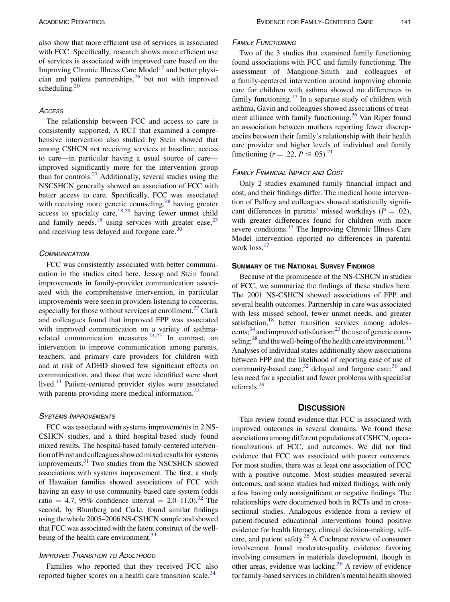also show that more efficient use of services is associated with FCC. Specifically, research shows more efficient use of services is associated with improved care based on the Improving Chronic Illness Care Model<sup>[17](#page-7-0)</sup> and better physician and patient partnerships, $26$  but not with improved scheduling. $20$ 

#### **ACCESS**

The relationship between FCC and access to care is consistently supported. A RCT that examined a comprehensive intervention also studied by Stein showed that among CSHCN not receiving services at baseline, access to care—in particular having a usual source of care improved significantly more for the intervention group than for controls.[27](#page-7-0) Additionally, several studies using the NSCSHCN generally showed an association of FCC with better access to care. Specifically, FCC was associated with receiving more genetic counseling,<sup>[28](#page-7-0)</sup> having greater  $\alpha$  access to specialty care,<sup>[18,29](#page-7-0)</sup> having fewer unmet child and family needs,  $18$  using services with greater ease,  $23$ and receiving less delayed and forgone care.[30](#page-7-0)

#### **COMMUNICATION**

FCC was consistently associated with better communication in the studies cited here. Jessop and Stein found improvements in family-provider communication associated with the comprehensive intervention, in particular improvements were seen in providers listening to concerns, especially for those without services at enrollment.<sup>[27](#page-7-0)</sup> Clark and colleagues found that improved FPP was associated with improved communication on a variety of asthma-related communication measures.<sup>[24,25](#page-7-0)</sup> In contrast, an intervention to improve communication among parents, teachers, and primary care providers for children with and at risk of ADHD showed few significant effects on communication, and those that were identified were short lived.<sup>[14](#page-7-0)</sup> Patient-centered provider styles were associated with parents providing more medical information.<sup>[22](#page-7-0)</sup>

## SYSTEMS IMPROVEMENTS

FCC was associated with systems improvements in 2 NS-CSHCN studies, and a third hospital-based study found mixed results. The hospital-based family-centered intervention of Frost and colleagues showed mixed results for systems improvements.<sup>31</sup> Two studies from the NSCSHCN showed associations with systems improvement. The first, a study of Hawaiian families showed associations of FCC with having an easy-to-use community-based care system (odds ratio = 4.7, 95% confidence interval =  $2.0-11.0$ .<sup>[32](#page-7-0)</sup> The second, by Blumberg and Carle, found similar findings using the whole 2005–2006 NS-CSHCN sample and showed that FCC was associated with the latent construct of the wellbeing of the health care environment.<sup>33</sup>

#### IMPROVED TRANSITION TO ADULTHOOD

Families who reported that they received FCC also reported higher scores on a health care transition scale.<sup>[34](#page-7-0)</sup>

### FAMILY FUNCTIONING

Two of the 3 studies that examined family functioning found associations with FCC and family functioning. The assessment of Mangione-Smith and colleagues of a family-centered intervention around improving chronic care for children with asthma showed no differences in family functioning.<sup>[17](#page-7-0)</sup> In a separate study of children with asthma, Gavin and colleagues showed associations of treat-ment alliance with family functioning.<sup>[26](#page-7-0)</sup> Van Riper found an association between mothers reporting fewer discrepancies between their family's relationship with their health care provider and higher levels of individual and family functioning ( $r = .22, P \le .05$ ).<sup>[21](#page-7-0)</sup>

## FAMILY FINANCIAL IMPACT AND COST

Only 2 studies examined family financial impact and cost, and their findings differ. The medical home intervention of Palfrey and colleagues showed statistically significant differences in parents' missed workdays ( $P = .02$ ), with greater differences found for children with more severe conditions.<sup>[15](#page-7-0)</sup> The Improving Chronic Illness Care Model intervention reported no differences in parental work loss.<sup>[17](#page-7-0)</sup>

#### SUMMARY OF THE NATIONAL SURVEY FINDINGS

Because of the prominence of the NS-CSHCN in studies of FCC, we summarize the findings of these studies here. The 2001 NS-CSHCN showed associations of FPP and several health outcomes. Partnership in care was associated with less missed school, fewer unmet needs, and greater satisfaction;<sup>[18](#page-7-0)</sup> better transition services among adolescents;<sup>34</sup> and improved satisfaction;<sup>23</sup> the use of genetic counseling; $^{28}$  $^{28}$  $^{28}$  and the well-being of the health care environment.<sup>33</sup> Analyses of individual states additionally show associations between FPP and the likelihood of reporting ease of use of community-based care,  $32$  delayed and forgone care;  $30$  and less need for a specialist and fewer problems with specialist referrals[.29](#page-7-0)

## **DISCUSSION**

This review found evidence that FCC is associated with improved outcomes in several domains. We found these associations among different populations of CSHCN, operationalizations of FCC, and outcomes. We did not find evidence that FCC was associated with poorer outcomes. For most studies, there was at least one association of FCC with a positive outcome. Most studies measured several outcomes, and some studies had mixed findings, with only a few having only nonsignificant or negative findings. The relationships were documented both in RCTs and in crosssectional studies. Analogous evidence from a review of patient-focused educational interventions found positive evidence for health literacy, clinical decision-making, selfcare, and patient safety.<sup>35</sup> A Cochrane review of consumer involvement found moderate-quality evidence favoring involving consumers in materials development, though in other areas, evidence was lacking[.36](#page-7-0) A review of evidence for family-based services in children's mental health showed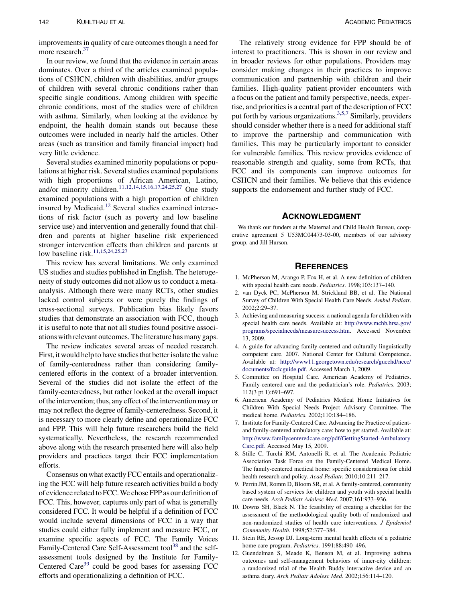<span id="page-6-0"></span>improvements in quality of care outcomes though a need for more research.<sup>37</sup>

In our review, we found that the evidence in certain areas dominates. Over a third of the articles examined populations of CSHCN, children with disabilities, and/or groups of children with several chronic conditions rather than specific single conditions. Among children with specific chronic conditions, most of the studies were of children with asthma. Similarly, when looking at the evidence by endpoint, the health domain stands out because these outcomes were included in nearly half the articles. Other areas (such as transition and family financial impact) had very little evidence.

Several studies examined minority populations or populations at higher risk. Several studies examined populations with high proportions of African American, Latino, and/or minority children.<sup>11,12,14,15,16,17,24,25,27</sup> One study examined populations with a high proportion of children insured by Medicaid.<sup>12</sup> Several studies examined interactions of risk factor (such as poverty and low baseline service use) and intervention and generally found that children and parents at higher baseline risk experienced stronger intervention effects than children and parents at low baseline risk.<sup>11,15,24,25,27</sup>

This review has several limitations. We only examined US studies and studies published in English. The heterogeneity of study outcomes did not allow us to conduct a metaanalysis. Although there were many RCTs, other studies lacked control subjects or were purely the findings of cross-sectional surveys. Publication bias likely favors studies that demonstrate an association with FCC, though it is useful to note that not all studies found positive associations with relevant outcomes. The literature has many gaps.

The review indicates several areas of needed research. First, it would help to have studies that better isolate the value of family-centeredness rather than considering familycentered efforts in the context of a broader intervention. Several of the studies did not isolate the effect of the family-centeredness, but rather looked at the overall impact of the intervention; thus, any effect of the intervention may or may not reflect the degree of family-centeredness. Second, it is necessary to more clearly define and operationalize FCC and FPP. This will help future researchers build the field systematically. Nevertheless, the research recommended above along with the research presented here will also help providers and practices target their FCC implementation efforts.

Consensus on what exactly FCC entails and operationalizing the FCC will help future research activities build a body of evidence related to FCC.We chose FPP as our definition of FCC. This, however, captures only part of what is generally considered FCC. It would be helpful if a definition of FCC would include several dimensions of FCC in a way that studies could either fully implement and measure FCC, or examine specific aspects of FCC. The Family Voices Family-Centered Care Self-Assessment tool<sup>38</sup> and the selfassessment tools designed by the Institute for Family-Centered Care<sup>[39](#page-7-0)</sup> could be good bases for assessing FCC efforts and operationalizing a definition of FCC.

The relatively strong evidence for FPP should be of interest to practitioners. This is shown in our review and in broader reviews for other populations. Providers may consider making changes in their practices to improve communication and partnership with children and their families. High-quality patient-provider encounters with a focus on the patient and family perspective, needs, expertise, and priorities is a central part of the description of FCC put forth by various organizations.<sup>3,5,7</sup> Similarly, providers should consider whether there is a need for additional staff to improve the partnership and communication with families. This may be particularly important to consider for vulnerable families. This review provides evidence of reasonable strength and quality, some from RCTs, that FCC and its components can improve outcomes for CSHCN and their families. We believe that this evidence supports the endorsement and further study of FCC.

#### ACKNOWLEDGMENT

We thank our funders at the Maternal and Child Health Bureau, cooperative agreement 5 U53MC04473-03-00, members of our advisory group, and Jill Hurson.

#### **REFERENCES**

- 1. McPherson M, Arango P, Fox H, et al. A new definition of children with special health care needs. Pediatrics. 1998;103:137–140.
- 2. van Dyck PC, McPherson M, Strickland BB, et al. The National Survey of Children With Special Health Care Needs. Ambul Pediatr. 2002;2:29–37.
- 3. Achieving and measuring success: a national agenda for children with special health care needs. Available at: [http://www.mchb.hrsa.gov/](http://www.mchb.hrsa.gov/programs/specialneeds/measuresuccess.htm) [programs/specialneeds/measuresuccess.htm.](http://www.mchb.hrsa.gov/programs/specialneeds/measuresuccess.htm) Accessed November 13, 2009.
- 4. A guide for advancing family-centered and culturally linguistically competent care. 2007. National Center for Cultural Competence. Available at: [http://www11.georgetown.edu/research/gucchd/nccc/](http://www11.georgetown.edu/research/gucchd/nccc/documents/fcclcguide.pdf) [documents/fcclcguide.pdf.](http://www11.georgetown.edu/research/gucchd/nccc/documents/fcclcguide.pdf) Accessed March 1, 2009.
- 5. Committee on Hospital Care. American Academy of Pediatrics. Family-centered care and the pediatrician's role. Pediatrics. 2003; 112(3 pt 1):691–697.
- 6. American Academy of Pediatrics Medical Home Initiatives for Children With Special Needs Project Advisory Committee. The medical home. Pediatrics. 2002;110:184–186.
- 7. Institute for Family-Centered Care. Advancing the Practice of patientand family-centered ambulatory care: how to get started. Available at: [http://www.familycenteredcare.org/pdf/GettingStarted-Ambulatory](http://www.familycenteredcare.org/pdf/GettingStarted-AmbulatoryCare.pdf) [Care.pdf](http://www.familycenteredcare.org/pdf/GettingStarted-AmbulatoryCare.pdf). Accessed May 15, 2009.
- 8. Stille C, Turchi RM, Antonelli R, et al. The Academic Pediatric Association Task Force on the Family-Centered Medical Home. The family-centered medical home: specific considerations for child health research and policy. Acad Pediatr. 2010;10:211-217.
- 9. Perrin JM, Romm D, Bloom SR, et al. A family-centered, community based system of services for children and youth with special health care needs. Arch Pediatr Adolesc Med. 2007;161:933–936.
- 10. Downs SH, Black N. The feasibility of creating a checklist for the assessment of the methodological quality both of randomized and non-randomized studies of health care interventions. J Epidemiol Community Health. 1998;52:377–384.
- 11. Stein RE, Jessop DJ. Long-term mental health effects of a pediatric home care program. Pediatrics. 1991;88:490-496.
- 12. Guendelman S, Meade K, Benson M, et al. Improving asthma outcomes and self-management behaviors of inner-city children: a randomized trial of the Health Buddy interactive device and an asthma diary. Arch Pediatr Adolesc Med. 2002;156:114–120.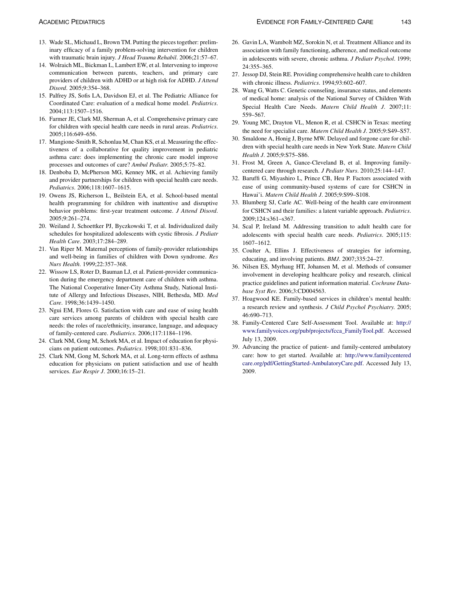- <span id="page-7-0"></span>13. Wade SL, Michaud L, Brown TM. Putting the pieces together: preliminary efficacy of a family problem-solving intervention for children with traumatic brain injury. J Head Trauma Rehabil. 2006;21:57-67.
- 14. Wolraich ML, Bickman L, Lambert EW, et al. Intervening to improve communication between parents, teachers, and primary care providers of children with ADHD or at high risk for ADHD. J Attend Disord. 2005;9:354–368.
- 15. Palfrey JS, Sofis LA, Davidson EJ, et al. The Pediatric Alliance for Coordinated Care: evaluation of a medical home model. Pediatrics. 2004;113:1507–1516.
- 16. Farmer JE, Clark MJ, Sherman A, et al. Comprehensive primary care for children with special health care needs in rural areas. Pediatrics. 2005;116:649–656.
- 17. Mangione-Smith R, Schonlau M, Chan KS, et al. Measuring the effectiveness of a collaborative for quality improvement in pediatric asthma care: does implementing the chronic care model improve processes and outcomes of care? Ambul Pediatr. 2005;5:75–82.
- 18. Denboba D, McPherson MG, Kenney MK, et al. Achieving family and provider partnerships for children with special health care needs. Pediatrics. 2006;118:1607–1615.
- 19. Owens JS, Richerson L, Beilstein EA, et al. School-based mental health programming for children with inattentive and disruptive behavior problems: first-year treatment outcome. J Attend Disord. 2005;9:261–274.
- 20. Weiland J, Schoettker PJ, Byczkowski T, et al. Individualized daily schedules for hospitalized adolescents with cystic fibrosis. J Pediatr Health Care. 2003;17:284–289.
- 21. Van Riper M. Maternal perceptions of family-provider relationships and well-being in families of children with Down syndrome. Res Nurs Health. 1999;22:357–368.
- 22. Wissow LS, Roter D, Bauman LJ, et al. Patient-provider communication during the emergency department care of children with asthma. The National Cooperative Inner-City Asthma Study, National Institute of Allergy and Infectious Diseases, NIH, Bethesda, MD. Med Care. 1998;36:1439–1450.
- 23. Ngui EM, Flores G. Satisfaction with care and ease of using health care services among parents of children with special health care needs: the roles of race/ethnicity, insurance, language, and adequacy of family-centered care. Pediatrics. 2006;117:1184–1196.
- 24. Clark NM, Gong M, Schork MA, et al. Impact of education for physicians on patient outcomes. Pediatrics. 1998;101:831-836.
- 25. Clark NM, Gong M, Schork MA, et al. Long-term effects of asthma education for physicians on patient satisfaction and use of health services. Eur Respir J. 2000;16:15–21.
- 26. Gavin LA, Wambolt MZ, Sorokin N, et al. Treatment Alliance and its association with family functioning, adherence, and medical outcome in adolescents with severe, chronic asthma. J Pediatr Psychol. 1999; 24:355–365.
- 27. Jessop DJ, Stein RE. Providing comprehensive health care to children with chronic illness. Pediatrics. 1994;93:602–607.
- 28. Wang G, Watts C. Genetic counseling, insurance status, and elements of medical home: analysis of the National Survey of Children With Special Health Care Needs. Matern Child Health J. 2007;11: 559–567.
- 29. Young MC, Drayton VL, Menon R, et al. CSHCN in Texas: meeting the need for specialist care. Matern Child Health J. 2005;9:S49–S57.
- 30. Smaldone A, Honig J, Byrne MW. Delayed and forgone care for children with special health care needs in New York State. Matern Child Health J. 2005;9:S75–S86.
- 31. Frost M, Green A, Gance-Cleveland B, et al. Improving familycentered care through research. J Pediatr Nurs. 2010;25:144–147.
- 32. Baruffi G, Miyashiro L, Prince CB, Heu P. Factors associated with ease of using community-based systems of care for CSHCN in Hawai'i. Matern Child Health J. 2005;9:S99–S108.
- 33. Blumberg SJ, Carle AC. Well-being of the health care environment for CSHCN and their families: a latent variable approach. Pediatrics. 2009;124:s361–s367.
- 34. Scal P, Ireland M. Addressing transition to adult health care for adolescents with special health care needs. Pediatrics. 2005;115: 1607–1612.
- 35. Coulter A, Ellins J. Effectiveness of strategies for informing, educating, and involving patients. BMJ. 2007;335:24–27.
- 36. Nilsen ES, Myrhaug HT, Johansen M, et al. Methods of consumer involvement in developing healthcare policy and research, clinical practice guidelines and patient information material. Cochrane Database Syst Rev. 2006;3:CD004563.
- 37. Hoagwood KE. Family-based services in children's mental health: a research review and synthesis. J Child Psychol Psychiatry. 2005; 46:690–713.
- 38. Family-Centered Care Self-Assessment Tool. Available at: [http://](http://www.familyvoices.org/pub/projects/fcca_FamilyTool.pdf) [www.familyvoices.org/pub/projects/fcca\\_FamilyTool.pdf](http://www.familyvoices.org/pub/projects/fcca_FamilyTool.pdf). Accessed July 13, 2009.
- 39. Advancing the practice of patient- and family-centered ambulatory care: how to get started. Available at: [http://www.familycentered](http://www.familycenteredcare.org/pdf/GettingStarted-AmbulatoryCare.pdf) [care.org/pdf/GettingStarted-AmbulatoryCare.pdf](http://www.familycenteredcare.org/pdf/GettingStarted-AmbulatoryCare.pdf). Accessed July 13, 2009.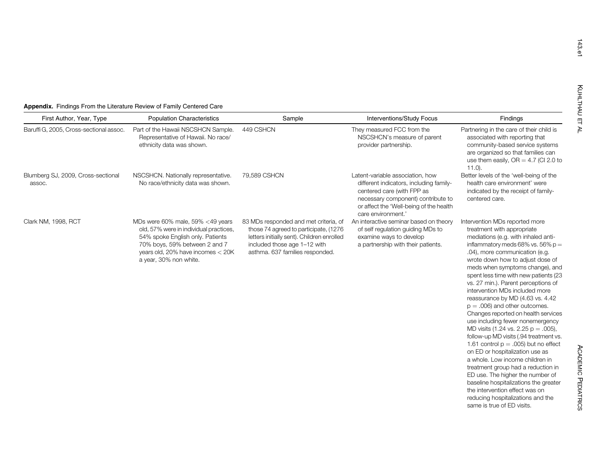#### First Author, Year, Type **Population Characteristics** Sample **Sample** Interventions/Study Focus Findings Findings Baruffi G, 2005, Cross-sectional assoc. Part of the Hawaii NSCSHCN Sample. Representative of Hawaii. No race/ ethnicity data was shown. 449 CSHCN They measured FCC from the NSCSHCN's measure of parent provider partnership. Partnering in the care of their child is associated with reporting that community-based service systems are organized so that families can use them easily,  $OR = 4.7$  (CI 2.0 to 11.0). Blumberg SJ, 2009, Cross-sectional assoc.NSCSHCN. Nationally representative. No race/ethnicity data was shown. 79,589 CSHCN Latent-variable association, how different indicators, including familycentered care (with FPP as necessary component) contribute to or affect the 'Well-being of the health care environment.'Better levels of the 'well-being of the health care environment' wereindicated by the receipt of familycentered care.Clark NM, 1998, RCT MDs were  $60\%$  male,  $59\% < 49$  years old, 57% were in individual practices, 54% spoke English only. Patients 70% boys, 59% between 2 and 7 years old, 20% have incomes <sup>&</sup>lt; 20K <sup>a</sup> year, 30% non white. 83 MDs responded and met criteria, of those 74 agreed to participate, (1276 letters initially sent). Children enrolled included those age 1–12 with asthma. 637 families responded. An interactive seminar based on theory of self regulation guiding MDs to examine ways to develop <sup>a</sup> partnership with their patients. Intervention MDs reported more treatment with appropriate mediations (e.g. with inhaled antiinflammatory meds 68% vs. 56%  $p =$ .04), more communication (e.g. wrote down how to adjust dose of meds when symptoms change), and spent less time with new patients (23 vs. 27 min.). Parent perceptions of intervention MDs included morereassurance by MD (4.63 vs. 4.42  $p = .006$ ) and other outcomes. Changes reported on health services use including fewer nonemergency MD visits (1.24 vs. 2.25  $p = .005$ ),

#### Appendix. Findings From the Literature Review of Family Centered Care

follow-up MD visits (.94 treatment vs. 1.61 control  $p = .005$ ) but no effect on ED or hospitalization use as a whole. Low income children in treatment group had <sup>a</sup> reduction in ED use. The higher the number of baseline hospitalizations the greater the intervention effect was onreducing hospitalizations and the same is true of ED visits.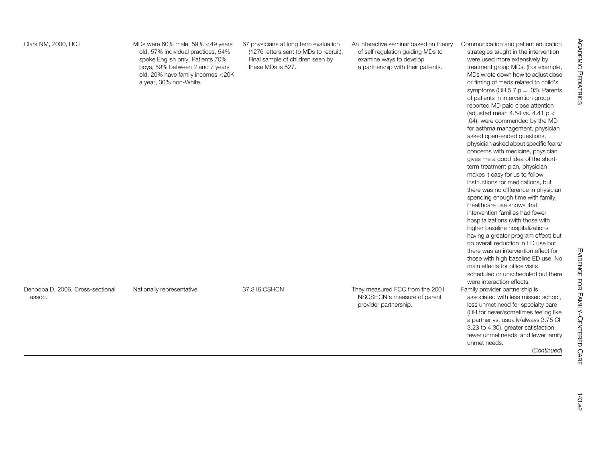|  | Clark NM, 2000, RCT |  |
|--|---------------------|--|
|  |                     |  |

MDs were 60% male, 59%  $<$ 49 years old, 57% individual practices, 54% spoke English only. Patients 70% boys, 59% between 2 and 7 years old. 20% have family incomes <sup>&</sup>lt;20K <sup>a</sup> year, 30% non-White.

67 physicians at long term evaluation (1276 letters sent to MDs to recruit). Final sample of children seen by these MDs is 527.

An interactive seminar based on theory of self regulation guiding MDs to examine ways to develop <sup>a</sup> partnership with their patients.

Communication and patient education strategies taught in the intervention were used more extensively by treatment group MDs. (For example, MDs wrote down how to adjust dose or timing of meds related to child's symptoms (OR  $5.7$  p = .05). Parents of patients in intervention group reported MD paid close attention (adjusted mean 4.54 vs. 4.41  $p <$ .04), were commended by the MD for asthma management, physician asked open-ended questions, physician asked about specific fears/ concerns with medicine, physician gives me <sup>a</sup> good idea of the shortterm treatment plan, physician makes it easy for us to follow instructions for medications, but there was no difference in physician spending enough time with family. Healthcare use shows thatintervention families had fewerhospitalizations (with those with higher baseline hospitalizations having <sup>a</sup> greater program effect) but no overall reduction in ED use butthere was an intervention effect forthose with high baseline ED use. No main effects for office visitsscheduled or unscheduled but therewere interaction effects.Family provider partnership is associated with less missed school, less unmet need for specialty care (OR for never/sometimes feeling like <sup>a</sup> partner vs. usually/always 3.75 CI

3.23 to 4.30), greater satisfaction, fewer unmet needs, and fewer family

unmet needs.

(Continued)

Denboba D, 2006, Cross-sectional assoc.

Nationally representative. 37,316 CSHCN They measured FCC from the 2001 NSCSHCN's measure of parent provider partnership.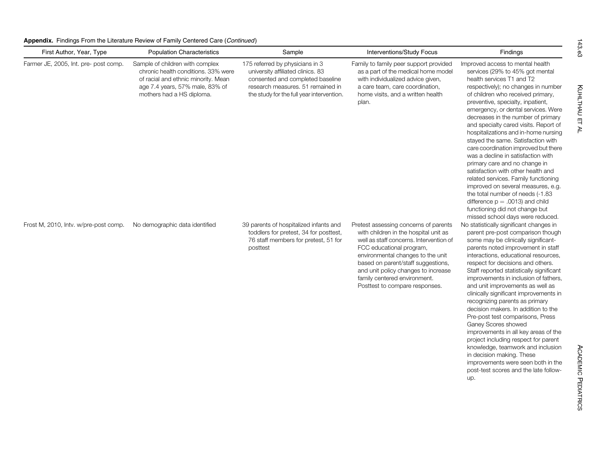Appendix. Findings From the Literature Review of Family Centered Care (Continued)

| First Author, Year, Type              | <b>Population Characteristics</b>                                                                                                                                             | Sample                                                                                                                                                                                     | Interventions/Study Focus                                                                                                                                                                                                                                                                                                                 | Findings                                                                                                                                                                                                                                                                                                                                                                                                                                                                                                                                                                                                                                                                                                                                                                                                 |
|---------------------------------------|-------------------------------------------------------------------------------------------------------------------------------------------------------------------------------|--------------------------------------------------------------------------------------------------------------------------------------------------------------------------------------------|-------------------------------------------------------------------------------------------------------------------------------------------------------------------------------------------------------------------------------------------------------------------------------------------------------------------------------------------|----------------------------------------------------------------------------------------------------------------------------------------------------------------------------------------------------------------------------------------------------------------------------------------------------------------------------------------------------------------------------------------------------------------------------------------------------------------------------------------------------------------------------------------------------------------------------------------------------------------------------------------------------------------------------------------------------------------------------------------------------------------------------------------------------------|
| Farmer JE, 2005, Int. pre- post comp. | Sample of children with complex<br>chronic health conditions. 33% were<br>of racial and ethnic minority. Mean<br>age 7.4 years, 57% male, 83% of<br>mothers had a HS diploma. | 175 referred by physicians in 3<br>university affiliated clinics. 83<br>consented and completed baseline<br>research measures. 51 remained in<br>the study for the full year intervention. | Family to family peer support provided<br>as a part of the medical home model<br>with individualized advice given,<br>a care team, care coordination,<br>home visits, and a written health<br>plan.                                                                                                                                       | Improved access to mental health<br>services (29% to 45% got mental<br>health services T1 and T2<br>respectively); no changes in number<br>of children who received primary,<br>preventive, specialty, inpatient,<br>emergency, or dental services. Were<br>decreases in the number of primary<br>and specialty cared visits. Report of<br>hospitalizations and in-home nursing<br>stayed the same. Satisfaction with<br>care coordination improved but there<br>was a decline in satisfaction with<br>primary care and no change in<br>satisfaction with other health and<br>related services. Family functioning<br>improved on several measures, e.g.<br>the total number of needs (-1.83<br>difference $p = .0013$ ) and child<br>functioning did not change but<br>missed school days were reduced. |
| Frost M, 2010, Intv. w/pre-post comp. | No demographic data identified                                                                                                                                                | 39 parents of hospitalized infants and<br>toddlers for pretest, 34 for posttest,<br>76 staff members for pretest, 51 for<br>posttest                                                       | Pretest assessing concerns of parents<br>with children in the hospital unit as<br>well as staff concerns. Intervention of<br>FCC educational program,<br>environmental changes to the unit<br>based on parent/staff suggestions,<br>and unit policy changes to increase<br>family centered environment.<br>Posttest to compare responses. | No statistically significant changes in<br>parent pre-post comparison though<br>some may be clinically significant-<br>parents noted improvement in staff<br>interactions, educational resources,<br>respect for decisions and others.<br>Staff reported statistically significant<br>improvements in inclusion of fathers,<br>and unit improvements as well as<br>clinically significant improvements in<br>recognizing parents as primary<br>decision makers. In addition to the<br>Pre-post test comparisons, Press<br>Ganey Scores showed<br>improvements in all key areas of the<br>project including respect for parent<br>knowledge, teamwork and inclusion<br>in decision making. These<br>improvements were seen both in the<br>post-test scores and the late follow-<br>up.                    |

KUHLTHAU ET AL

KUHLTHAU ET AL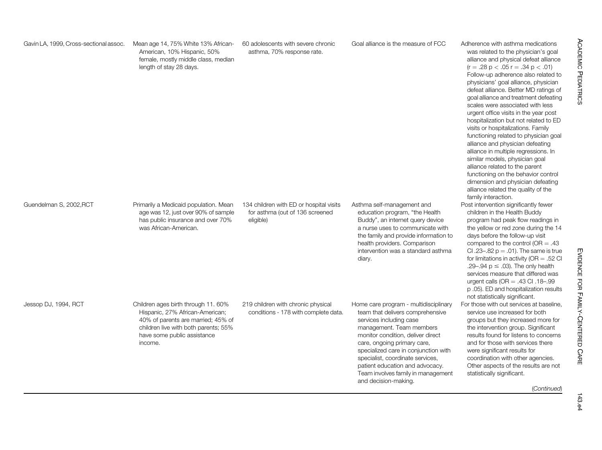| Gavin LA, 1999, Cross-sectional assoc. | Mean age 14, 75% White 13% African-<br>American, 10% Hispanic, 50%<br>female, mostly middle class, median<br>length of stay 28 days.                                                          | 60 adolescents with severe chronic<br>asthma, 70% response rate.                        | Goal alliance is the measure of FCC                                                                                                                                                                                                                                                                                                                                               | Adherence with asthma medications<br>was related to the physician's goal<br>alliance and physical defeat alliance<br>$(r = .28 \text{ p} < .05 \text{ r} = .34 \text{ p} < .01)$<br>Follow-up adherence also related to<br>physicians' goal alliance, physician<br>defeat alliance. Better MD ratings of<br>goal alliance and treatment defeating<br>scales were associated with less<br>urgent office visits in the year post<br>hospitalization but not related to ED<br>visits or hospitalizations. Family<br>functioning related to physician goal<br>alliance and physician defeating<br>alliance in multiple regressions. In<br>similar models, physician goal<br>alliance related to the parent<br>functioning on the behavior control<br>dimension and physician defeating<br>alliance related the quality of the<br>family interaction. |
|----------------------------------------|-----------------------------------------------------------------------------------------------------------------------------------------------------------------------------------------------|-----------------------------------------------------------------------------------------|-----------------------------------------------------------------------------------------------------------------------------------------------------------------------------------------------------------------------------------------------------------------------------------------------------------------------------------------------------------------------------------|--------------------------------------------------------------------------------------------------------------------------------------------------------------------------------------------------------------------------------------------------------------------------------------------------------------------------------------------------------------------------------------------------------------------------------------------------------------------------------------------------------------------------------------------------------------------------------------------------------------------------------------------------------------------------------------------------------------------------------------------------------------------------------------------------------------------------------------------------|
| Guendelman S, 2002, RCT                | Primarily a Medicaid population. Mean<br>age was 12, just over 90% of sample<br>has public insurance and over 70%<br>was African-American.                                                    | 134 children with ED or hospital visits<br>for asthma (out of 136 screened<br>eligible) | Asthma self-management and<br>education program, "the Health<br>Buddy", an internet query device<br>a nurse uses to communicate with<br>the family and provide information to<br>health providers. Comparison<br>intervention was a standard asthma<br>diary.                                                                                                                     | Post intervention significantly fewer<br>children in the Health Buddy<br>program had peak flow readings in<br>the yellow or red zone during the 14<br>days before the follow-up visit<br>compared to the control ( $OR = .43$ )<br>CI.23-.82 $p = .01$ ). The same is true<br>for limitations in activity ( $OR = .52$ CI<br>.29–.94 $p \leq .03$ ). The only health<br>services measure that differed was<br>urgent calls (OR = .43 Cl. 18-.99)<br>p .05). ED and hospitalization results<br>not statistically significant.                                                                                                                                                                                                                                                                                                                     |
| Jessop DJ, 1994, RCT                   | Children ages birth through 11.60%<br>Hispanic, 27% African-American;<br>40% of parents are married; 45% of<br>children live with both parents; 55%<br>have some public assistance<br>income. | 219 children with chronic physical<br>conditions - 178 with complete data.              | Home care program - multidisciplinary<br>team that delivers comprehensive<br>services including case<br>management. Team members<br>monitor condition, deliver direct<br>care, ongoing primary care,<br>specialized care in conjunction with<br>specialist, coordinate services,<br>patient education and advocacy.<br>Team involves family in management<br>and decision-making. | For those with out services at baseline,<br>service use increased for both<br>groups but they increased more for<br>the intervention group. Significant<br>results found for listens to concerns<br>and for those with services there<br>were significant results for<br>coordination with other agencies.<br>Other aspects of the results are not<br>statistically significant.<br>(Continued)                                                                                                                                                                                                                                                                                                                                                                                                                                                  |

143.e4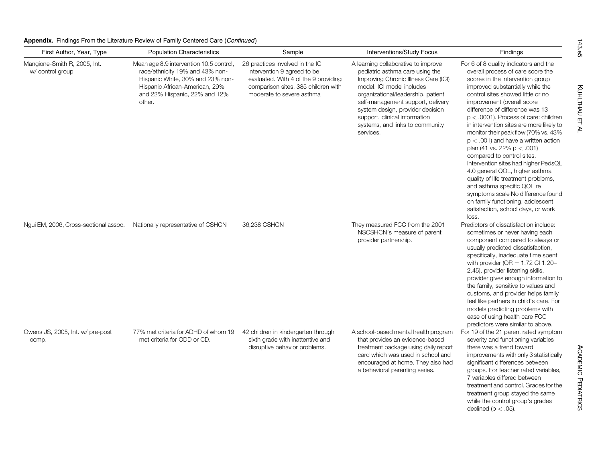Appendix. Findings From the Literature Review of Family Centered Care (Continued)

| First Author, Year, Type                         | <b>Population Characteristics</b>                                                                                                                                                           | Sample                                                                                                                                                                      | <b>Interventions/Study Focus</b>                                                                                                                                                                                                                                                                                                            | Findings                                                                                                                                                                                                                                                                                                                                                                                                                                                                                                                                                                                                                                                                                                                                                                    |
|--------------------------------------------------|---------------------------------------------------------------------------------------------------------------------------------------------------------------------------------------------|-----------------------------------------------------------------------------------------------------------------------------------------------------------------------------|---------------------------------------------------------------------------------------------------------------------------------------------------------------------------------------------------------------------------------------------------------------------------------------------------------------------------------------------|-----------------------------------------------------------------------------------------------------------------------------------------------------------------------------------------------------------------------------------------------------------------------------------------------------------------------------------------------------------------------------------------------------------------------------------------------------------------------------------------------------------------------------------------------------------------------------------------------------------------------------------------------------------------------------------------------------------------------------------------------------------------------------|
| Mangione-Smith R, 2005, Int.<br>w/ control group | Mean age 8.9 intervention 10.5 control,<br>race/ethnicity 19% and 43% non-<br>Hispanic White, 30% and 23% non-<br>Hispanic African-American, 29%<br>and 22% Hispanic, 22% and 12%<br>other. | 26 practices involved in the ICI<br>intervention 9 agreed to be<br>evaluated. With 4 of the 9 providing<br>comparison sites. 385 children with<br>moderate to severe asthma | A learning collaborative to improve<br>pediatric asthma care using the<br>Improving Chronic Illness Care (ICI)<br>model. ICI model includes<br>organizational/leadership, patient<br>self-management support, delivery<br>system design, provider decision<br>support, clinical information<br>systems, and links to community<br>services. | For 6 of 8 quality indicators and the<br>overall process of care score the<br>scores in the intervention group<br>improved substantially while the<br>control sites showed little or no<br>improvement (overall score<br>difference of difference was 13<br>$p < .0001$ ). Process of care: children<br>in intervention sites are more likely to<br>monitor their peak flow (70% vs. 43%)<br>$p < .001$ ) and have a written action<br>plan (41 vs. 22% $p < .001$ )<br>compared to control sites.<br>Intervention sites had higher PedsQL<br>4.0 general QOL, higher asthma<br>quality of life treatment problems,<br>and asthma specific QOL re<br>symptoms scale No difference found<br>on family functioning, adolescent<br>satisfaction, school days, or work<br>loss. |
| Ngui EM, 2006, Cross-sectional assoc.            | Nationally representative of CSHCN                                                                                                                                                          | 36,238 CSHCN                                                                                                                                                                | They measured FCC from the 2001<br>NSCSHCN's measure of parent<br>provider partnership.                                                                                                                                                                                                                                                     | Predictors of dissatisfaction include:<br>sometimes or never having each<br>component compared to always or<br>usually predicted dissatisfaction,<br>specifically, inadequate time spent<br>with provider (OR $=$ 1.72 Cl 1.20-<br>2.45), provider listening skills,<br>provider gives enough information to<br>the family, sensitive to values and<br>customs, and provider helps family<br>feel like partners in child's care. For<br>models predicting problems with<br>ease of using health care FCC<br>predictors were similar to above.                                                                                                                                                                                                                               |
| Owens JS, 2005, Int. w/ pre-post<br>comp.        | 77% met criteria for ADHD of whom 19<br>met criteria for ODD or CD.                                                                                                                         | 42 children in kindergarten through<br>sixth grade with inattentive and<br>disruptive behavior problems.                                                                    | A school-based mental health program<br>that provides an evidence-based<br>treatment package using daily report<br>card which was used in school and<br>encouraged at home. They also had<br>a behavioral parenting series.                                                                                                                 | For 19 of the 21 parent rated symptom<br>severity and functioning variables<br>there was a trend toward<br>improvements with only 3 statistically<br>significant differences between<br>groups. For teacher rated variables,<br>7 variables differed between<br>treatment and control. Grades for the<br>treatment group stayed the same<br>while the control group's grades<br>declined ( $p < .05$ ).                                                                                                                                                                                                                                                                                                                                                                     |

KUHLTHAU ET AL

KUHLTHAU ET AL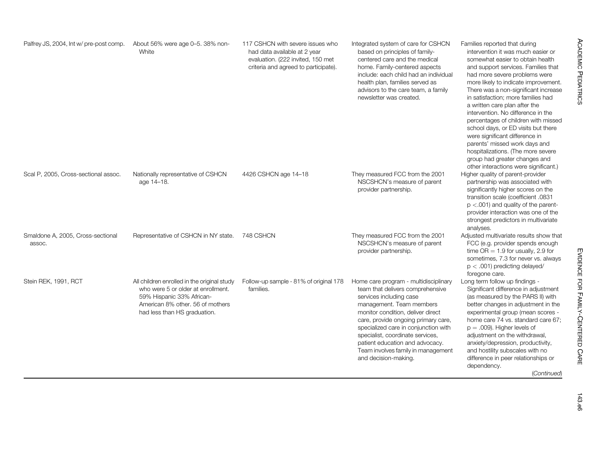| Palfrey JS, 2004, Int w/pre-post comp.      | About 56% were age 0-5. 38% non-<br>White                                                                                                                                          | 117 CSHCN with severe issues who<br>had data available at 2 year<br>evaluation. (222 invited, 150 met<br>criteria and agreed to participate). | Integrated system of care for CSHCN<br>based on principles of family-<br>centered care and the medical<br>home. Family-centered aspects<br>include: each child had an individual<br>health plan, families served as<br>advisors to the care team, a family<br>newsletter was created.                                                                                                     | Families reported that during<br>intervention it was much easier or<br>somewhat easier to obtain health<br>and support services. Families that<br>had more severe problems were<br>more likely to indicate improvement.<br>There was a non-significant increase<br>in satisfaction; more families had<br>a written care plan after the<br>intervention. No difference in the<br>percentages of children with missed<br>school days, or ED visits but there<br>were significant difference in<br>parents' missed work days and<br>hospitalizations. (The more severe<br>group had greater changes and<br>other interactions were significant.) |
|---------------------------------------------|------------------------------------------------------------------------------------------------------------------------------------------------------------------------------------|-----------------------------------------------------------------------------------------------------------------------------------------------|-------------------------------------------------------------------------------------------------------------------------------------------------------------------------------------------------------------------------------------------------------------------------------------------------------------------------------------------------------------------------------------------|-----------------------------------------------------------------------------------------------------------------------------------------------------------------------------------------------------------------------------------------------------------------------------------------------------------------------------------------------------------------------------------------------------------------------------------------------------------------------------------------------------------------------------------------------------------------------------------------------------------------------------------------------|
| Scal P, 2005, Cross-sectional assoc.        | Nationally representative of CSHCN<br>age 14-18.                                                                                                                                   | 4426 CSHCN age 14-18                                                                                                                          | They measured FCC from the 2001<br>NSCSHCN's measure of parent<br>provider partnership.                                                                                                                                                                                                                                                                                                   | Higher quality of parent-provider<br>partnership was associated with<br>significantly higher scores on the<br>transition scale (coefficient .0831<br>$p < .001$ ) and quality of the parent-<br>provider interaction was one of the<br>strongest predictors in multivariate<br>analyses.                                                                                                                                                                                                                                                                                                                                                      |
| Smaldone A, 2005, Cross-sectional<br>assoc. | Representative of CSHCN in NY state.                                                                                                                                               | 748 CSHCN                                                                                                                                     | They measured FCC from the 2001<br>NSCSHCN's measure of parent<br>provider partnership.                                                                                                                                                                                                                                                                                                   | Adjusted multivariate results show that<br>FCC (e.g. provider spends enough<br>time $OR = 1.9$ for usually, 2.9 for<br>sometimes, 7.3 for never vs. always<br>$p < .001$ ) predicting delayed/<br>foregone care.                                                                                                                                                                                                                                                                                                                                                                                                                              |
| Stein REK, 1991, RCT                        | All children enrolled in the original study<br>who were 5 or older at enrollment.<br>59% Hispanic 33% African-<br>American 8% other. 56 of mothers<br>had less than HS graduation. | Follow-up sample - 81% of original 178<br>families.                                                                                           | Home care program - multidisciplinary<br>team that delivers comprehensive<br>services including case<br>management. Team members<br>monitor condition, deliver direct<br>care, provide ongoing primary care,<br>specialized care in conjunction with<br>specialist, coordinate services,<br>patient education and advocacy.<br>Team involves family in management<br>and decision-making. | Long term follow up findings -<br>Significant difference in adjustment<br>(as measured by the PARS II) with<br>better changes in adjustment in the<br>experimental group (mean scores -<br>home care 74 vs. standard care 67;<br>$p = .009$ . Higher levels of<br>adjustment on the withdrawal,<br>anxiety/depression, productivity,<br>and hostility subscales with no<br>difference in peer relationships or<br>dependency.<br>(Continued)                                                                                                                                                                                                  |

ACADEMIC

**PEDIATRICS**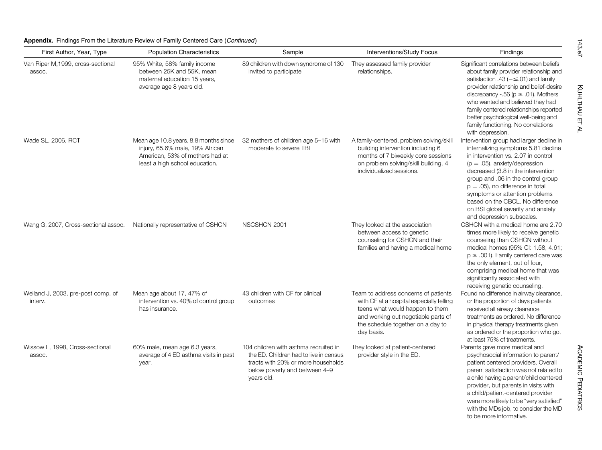Appendix. Findings From the Literature Review of Family Centered Care (Continued)

| First Author, Year, Type                      | <b>Population Characteristics</b>                                                                                                             | Sample                                                                                                                                                               | Interventions/Study Focus                                                                                                                                                                                     | Findings                                                                                                                                                                                                                                                                                                                                                                                                            |
|-----------------------------------------------|-----------------------------------------------------------------------------------------------------------------------------------------------|----------------------------------------------------------------------------------------------------------------------------------------------------------------------|---------------------------------------------------------------------------------------------------------------------------------------------------------------------------------------------------------------|---------------------------------------------------------------------------------------------------------------------------------------------------------------------------------------------------------------------------------------------------------------------------------------------------------------------------------------------------------------------------------------------------------------------|
| Van Riper M, 1999, cross-sectional<br>assoc.  | 95% White, 58% family income<br>between 25K and 55K, mean<br>maternal education 15 years,<br>average age 8 years old.                         | 89 children with down syndrome of 130<br>invited to participate                                                                                                      | They assessed family provider<br>relationships.                                                                                                                                                               | Significant correlations between beliefs<br>about family provider relationship and<br>satisfaction .43 ( $-\leq$ .01) and family<br>provider relationship and belief-desire<br>discrepancy -.56 ( $p \le .01$ ). Mothers<br>who wanted and believed they had<br>family centered relationships reported<br>better psychological well-being and<br>family functioning. No correlations<br>with depression.            |
| Wade SL, 2006, RCT                            | Mean age 10.8 years, 8.8 months since<br>injury, 65.6% male, 19% African<br>American, 53% of mothers had at<br>least a high school education. | 32 mothers of children age 5-16 with<br>moderate to severe TBI                                                                                                       | A family-centered, problem solving/skill<br>building intervention including 6<br>months of 7 biweekly core sessions<br>on problem solving/skill building, 4<br>individualized sessions.                       | Intervention group had larger decline in<br>internalizing symptoms 5.81 decline<br>in intervention vs. 2.07 in control<br>$(p=.05)$ , anxiety/depression<br>decreased (3.8 in the intervention<br>group and .06 in the control group<br>$p = .05$ , no difference in total<br>symptoms or attention problems<br>based on the CBCL. No difference<br>on BSI global severity and anxiety<br>and depression subscales. |
| Wang G, 2007, Cross-sectional assoc.          | Nationally representative of CSHCN                                                                                                            | NSCSHCN 2001                                                                                                                                                         | They looked at the association<br>between access to genetic<br>counseling for CSHCN and their<br>families and having a medical home                                                                           | CSHCN with a medical home are 2.70<br>times more likely to receive genetic<br>counseling than CSHCN without<br>medical homes (95% Cl: 1.58, 4.61;<br>$p \leq .001$ ). Family centered care was<br>the only element, out of four,<br>comprising medical home that was<br>significantly associated with<br>receiving genetic counseling.                                                                              |
| Weiland J, 2003, pre-post comp. of<br>interv. | Mean age about 17, 47% of<br>intervention vs. 40% of control group<br>has insurance.                                                          | 43 children with CF for clinical<br>outcomes                                                                                                                         | Team to address concerns of patients<br>with CF at a hospital especially telling<br>teens what would happen to them<br>and working out negotiable parts of<br>the schedule together on a day to<br>day basis. | Found no difference in airway clearance,<br>or the proportion of days patients<br>received all airway clearance<br>treatments as ordered. No difference<br>in physical therapy treatments given<br>as ordered or the proportion who got<br>at least 75% of treatments.                                                                                                                                              |
| Wissow L, 1998, Cross-sectional<br>assoc.     | 60% male, mean age 6.3 years,<br>average of 4 ED asthma visits in past<br>year.                                                               | 104 children with asthma recruited in<br>the ED. Children had to live in census<br>tracts with 20% or more households<br>below poverty and between 4-9<br>years old. | They looked at patient-centered<br>provider style in the ED.                                                                                                                                                  | Parents gave more medical and<br>psychosocial information to parent/<br>patient centered providers. Overall<br>parent satisfaction was not related to<br>a child having a parent/child centered<br>provider, but parents in visits with<br>a child/patient-centered provider<br>were more likely to be "very satisfied"<br>with the MDs job, to consider the MD                                                     |

KUHLTHAU ET AL

KUHLTHAU ET AL

to be more informative.